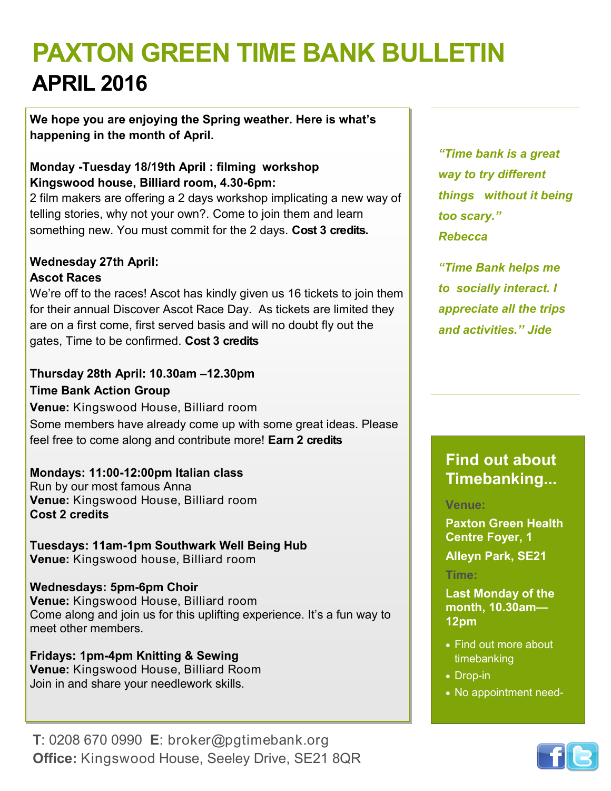# **PAXTON GREEN TIME BANK BULLETIN APRIL 2016**

**We hope you are enjoying the Spring weather. Here is what's happening in the month of April.** 

#### **Monday -Tuesday 18/19th April : filming workshop Kingswood house, Billiard room, 4.30-6pm:**

2 film makers are offering a 2 days workshop implicating a new way of telling stories, why not your own?. Come to join them and learn something new. You must commit for the 2 days. **Cost 3 credits.** 

#### **Wednesday 27th April:**

#### **Ascot Races**

We're off to the races! Ascot has kindly given us 16 tickets to join them for their annual Discover Ascot Race Day. As tickets are limited they are on a first come, first served basis and will no doubt fly out the gates, Time to be confirmed. **Cost 3 credits**

#### **Thursday 28th April: 10.30am –12.30pm Time Bank Action Group**

**Venue:** Kingswood House, Billiard room Some members have already come up with some great ideas. Please feel free to come along and contribute more! **Earn 2 credits**

#### **Mondays: 11:00-12:00pm Italian class**

Run by our most famous Anna **Venue:** Kingswood House, Billiard room **Cost 2 credits** 

**Tuesdays: 11am-1pm Southwark Well Being Hub Venue:** Kingswood house, Billiard room

**Wednesdays: 5pm-6pm Choir Venue:** Kingswood House, Billiard room Come along and join us for this uplifting experience. It's a fun way to meet other members.

**Fridays: 1pm-4pm Knitting & Sewing Venue:** Kingswood House, Billiard Room Join in and share your needlework skills.

**T**: 0208 670 0990 **E**: broker@pgtimebank.org **Office:** Kingswood House, Seeley Drive, SE21 8QR

*"Time bank is a great way to try different things without it being too scary." Rebecca*

*"Time Bank helps me to socially interact. I appreciate all the trips and activities.'' Jide*

## **Find out about Timebanking...**

#### **Venue:**

**Paxton Green Health Centre Foyer, 1** 

**Alleyn Park, SE21**

#### **Time:**

**Last Monday of the month, 10.30am— 12pm**

- Find out more about timebanking
- Drop-in
- No appointment need-